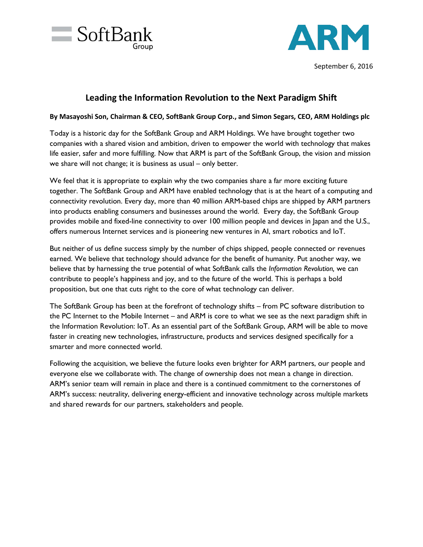



## **Leading the Information Revolution to the Next Paradigm Shift**

## **By Masayoshi Son, Chairman & CEO, SoftBank Group Corp., and Simon Segars, CEO, ARM Holdings plc**

Today is a historic day for the SoftBank Group and ARM Holdings. We have brought together two companies with a shared vision and ambition, driven to empower the world with technology that makes life easier, safer and more fulfilling. Now that ARM is part of the SoftBank Group, the vision and mission we share will not change; it is business as usual – only better.

We feel that it is appropriate to explain why the two companies share a far more exciting future together. The SoftBank Group and ARM have enabled technology that is at the heart of a computing and connectivity revolution. Every day, more than 40 million ARM-based chips are shipped by ARM partners into products enabling consumers and businesses around the world. Every day, the SoftBank Group provides mobile and fixed-line connectivity to over 100 million people and devices in Japan and the U.S., offers numerous Internet services and is pioneering new ventures in AI, smart robotics and IoT.

But neither of us define success simply by the number of chips shipped, people connected or revenues earned. We believe that technology should advance for the benefit of humanity. Put another way, we believe that by harnessing the true potential of what SoftBank calls the *Information Revolution,* we can contribute to people's happiness and joy, and to the future of the world. This is perhaps a bold proposition, but one that cuts right to the core of what technology can deliver.

The SoftBank Group has been at the forefront of technology shifts – from PC software distribution to the PC Internet to the Mobile Internet – and ARM is core to what we see as the next paradigm shift in the Information Revolution: IoT. As an essential part of the SoftBank Group, ARM will be able to move faster in creating new technologies, infrastructure, products and services designed specifically for a smarter and more connected world.

Following the acquisition, we believe the future looks even brighter for ARM partners, our people and everyone else we collaborate with. The change of ownership does not mean a change in direction. ARM's senior team will remain in place and there is a continued commitment to the cornerstones of ARM's success: neutrality, delivering energy-efficient and innovative technology across multiple markets and shared rewards for our partners, stakeholders and people.